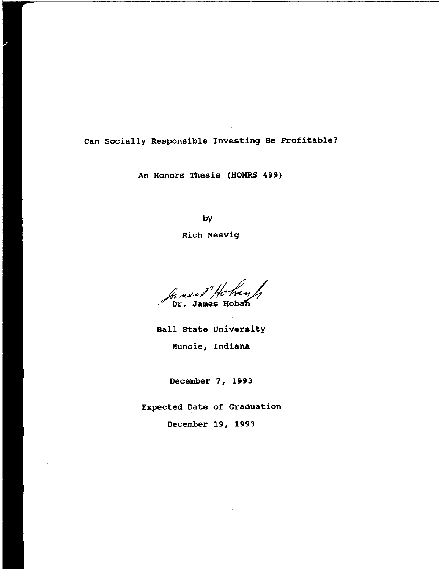# Can socially Responsible Investing Be Profitable?

An Honors Thesis (HONRS 499)

by

Rich Nesvig

Iames, Dr. James Hoban

Ball state University Muncie, Indiana

December 7, 1993

Expected Date of Graduation

December 19, 1993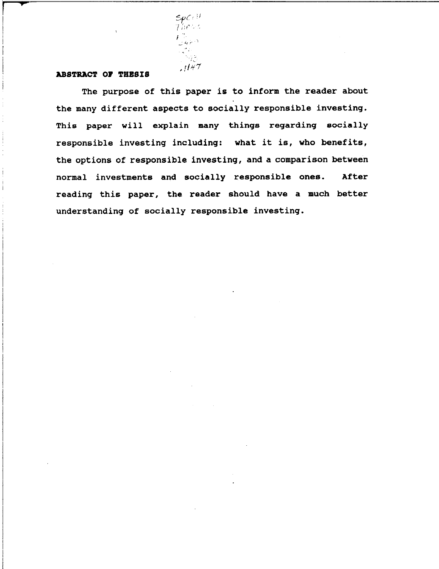

### **ABSTRACT OF THESIS**

I !

> The purpose of this paper is to inform the reader about the many different aspects to socially responsible investing. This paper will explain many things regarding socially responsible investing including: what it is, who benefits, the options of responsible investing, and a comparison between normal investments and socially responsible ones. After reading this paper, the reader should have a much better understanding of socially responsible investing.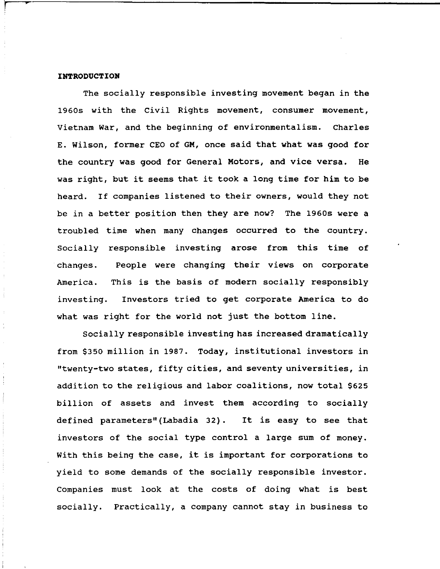## **INTRODUCTION**

**..** 

The socially responsible investing movement began in the 1960s with the civil Rights movement, consumer movement, Vietnam War, and the beginning of environmentalism. Charles E. Wilson, former CEO of GM, once said that what was good for the country was good for General Motors, and vice versa. He was right, but it seems that it took a long time for him to be heard. If companies listened to their owners, would they not be in a better position then they are now? The 1960s were a troubled time when many changes occurred to the country. Socially responsible investing arose from this time of changes. People were changing their views on corporate America. This is the basis of modern socially responsibly investing. Investors tried to get corporate America to do what was right for the world not just the bottom line.

Socially responsible investing has increased dramatically from \$350 million in 1987. Today, institutional investors in "twenty-two states, fifty cities, and seventy universities, in addition to the religious and labor coalitions, now total \$625 billion of assets and invest them according to socially defined parameters" (Labadia 32). It is easy to see that investors of the social type control a large sum of money. With this being the case, it is important for corporations to yield to some demands of the socially responsible investor. Companies must look at the costs of doing what is best socially. Practically, a company cannot stay in business to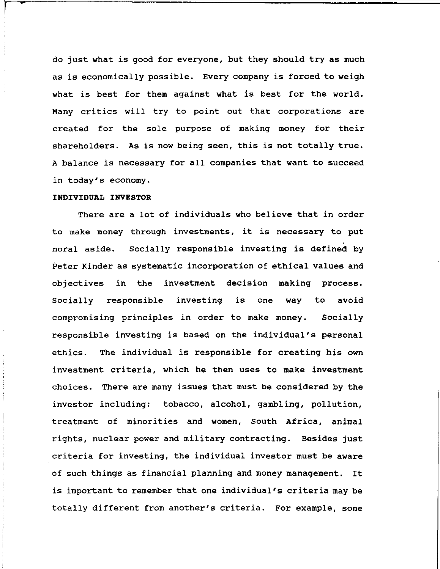do just what is good for everyone, but they should try as much as is economically possible. Every company is forced to weigh what is best for them against what is best for the world. Many critics will try to point out that corporations are created for the sole purpose of making money for their shareholders. As is now being seen, this is not totally true. A balance is necessary for all companies that want to succeed in today's economy.

#### **INDIVIDUAL INVESTOR**

**..** 

There are a lot of individuals who believe that in order to make money through investments, it is necessary to put moral aside. Socially responsible investing is defined by Peter Kinder as systematic incorporation of ethical values and objectives in the investment decision making process. Socially responsible investing is one way to avoid compromising principles in order to make money. Socially responsible investing is based on the individual's personal ethics. The individual is responsible for creating his own investment criteria, which he then uses to make investment choices. There are many issues that must be considered by the investor including: tobacco, alcohol, gambling, pollution, treatment of minorities and women, South Africa, animal rights, nuclear power and military contracting. Besides just criteria for investing, the individual investor must be aware of such things as financial planning and money management. It is important to remember that one individual's criteria may be totally different from another's criteria. For example, some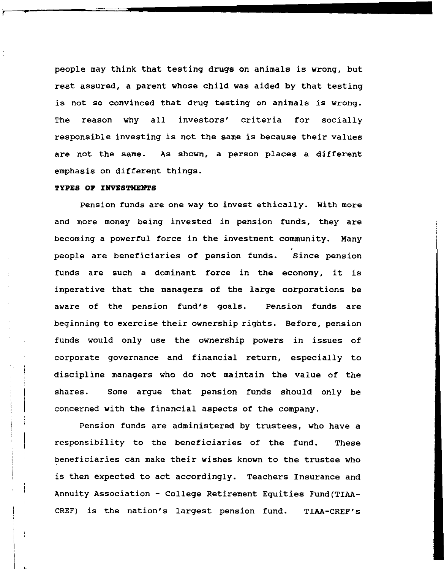people may think that testing drugs on animals is wrong, but rest assured, a parent whose child was aided by that testing is not so convinced that drug testing on animals is wrong. The reason why all investors' criteria for socially responsible investing is not the same is because their values are not the same. As shown, a person places a different emphasis on different things.

#### **TYPES OF INVESTMENTS**

Pension funds are one way to invest ethically. with more and more money being invested in pension funds, they are becoming a powerful force in the investment community. Many people are beneficiaries of pension funds. since pension funds are such a dominant force in the economy, it is imperative that the managers of the large corporations be aware of the pension fund's goals. Pension funds are beginning to exercise their ownership rights. Before, pension funds would only use the ownership powers in issues of corporate governance and financial return, especially to discipline managers who do not maintain the value of the shares. Some argue that pension funds should only be concerned with the financial aspects of the company.

Pension funds are administered by trustees, who have a responsibility to the beneficiaries of the fund. These beneficiaries can make their wishes known to the trustee who is then expected to act accordingly. Teachers Insurance and Annuity Association - College Retirement Equities Fund(TIAA-CREF) is the nation's largest pension fund. TIAA-CREF's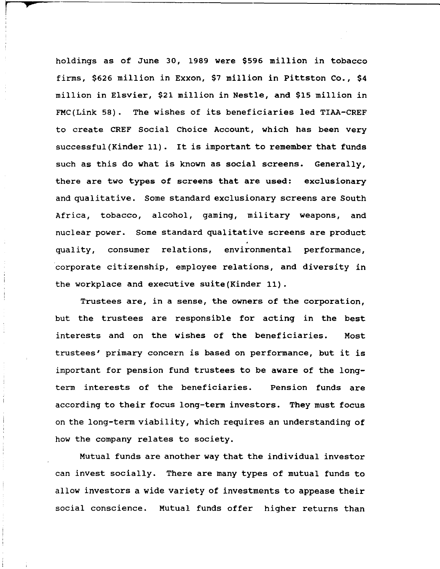holdings as of June 30, 1989 were \$596 million in tobacco firms, \$626 million in Exxon, \$7 million in pittston Co., \$4 million in Elsvier, \$21 million in Nestle, and \$15 million in FMC(Link 58). The wishes of its beneficiaries led TIAA-CREF to create CREF Social Choice Account, which has been very successful (Kinder 11). It is important to remember that funds such as this do what is known as social screens. Generally, there are two types of screens that are used: exclusionary and qualitative. Some standard exclusionary screens are South Africa, tobacco, alcohol, gaming, military weapons, and nuclear power. Some standard qualitative screens are product quality, consumer relations, environmental performance, corporate citizenship, employee relations, and diversity in the workplace and executive suite(Kinder 11).

*<sup>r</sup>***,..** 

Trustees are, in a sense, the owners of the corporation, but the trustees are responsible for acting in the best interests and on the wishes of the beneficiaries. Most trustees' primary concern is based on performance, but it is important for pension fund trustees to be aware of the longterm interests of the beneficiaries. Pension funds are according to their focus long-term investors. They must focus on the long-term viability, which requires an understanding of how the company relates to society.

Mutual funds are another way that the individual investor can invest socially. There are many types of mutual funds to allow investors a wide variety of investments to appease their social conscience. Mutual funds offer higher returns than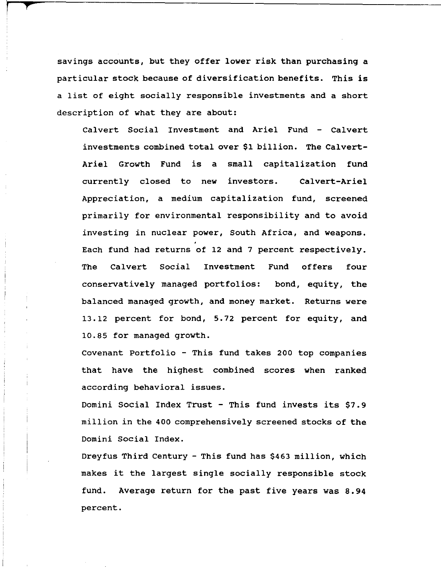savings accounts, but they offer lower risk than purchasing a particular stock because of diversification benefits. This is a list of eight socially responsible investments and a short description of what they are about:

**t** 

Calvert Social Investment and Ariel Fund - Calvert investments combined total over \$1 billion. The Calvert-Ariel Growth Fund is a small capitalization fund currently closed to new investors. Calvert-Ariel Appreciation, a medium capitalization fund, screened primarily for environmental responsibility and to avoid investing in nuclear power, South Africa, and weapons. Each fund had returns of 12 and 7 percent respectively. The Calvert Social Investment Fund offers four conservatively managed portfolios: bond, equity, the balanced managed growth, and money market. Returns were 13.12 percent for bond, 5.72 percent for equity, and 10.85 for managed growth.

Covenant Portfolio - This fund takes 200 top companies that have the highest combined scores when ranked according behavioral issues.

Domini Social Index Trust - This fund invests its \$7.9 million in the 400 comprehensively screened stocks of the Domini Social Index.

Dreyfus Third century - This fund has \$463 million, which makes it the largest single socially responsible stock fund. Average return for the past five years was 8.94 percent.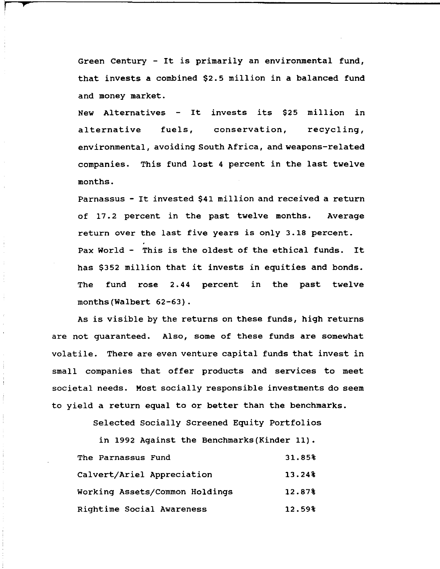Green Century - It *is* primarily an environmental fund, that invests a combined \$2.5 million in a balanced fund and money market.

**,...** 

Ť

ŧ

 $\frac{1}{2}$ 

New Alternatives - It invests its \$25 million in alternative fuels, conservation, recycling, environmental, avoiding South Africa, and weapons-related companies. This fund lost 4 percent in the last twelve months.

Parnassus - It invested \$41 million and received a return of 17.2 percent in the past twelve months. Average return over the last five years *is* only 3.18 percent. Pax World - This *is* the oldest of the ethical funds. It has \$352 million that it invests in equities and bonds. The fund rose 2.44 percent in the past twelve months(Walbert 62-63).

As *is* visible by the returns on these funds, high returns are not guaranteed. Also, some of these funds are somewhat volatile. There are even venture capital funds that invest in small companies that offer products and services to meet societal needs. Most socially responsible investments do seem to yield a return equal to or better than the benchmarks.

Selected Socially Screened Equity Portfolios

in 1992 Against the Benchmarks(Kinder 11).

| The Parnassus Fund             | 31.85%    |
|--------------------------------|-----------|
| Calvert/Ariel Appreciation     | $13.24\%$ |
| Working Assets/Common Holdings | 12.87%    |
| Rightime Social Awareness      | 12.59%    |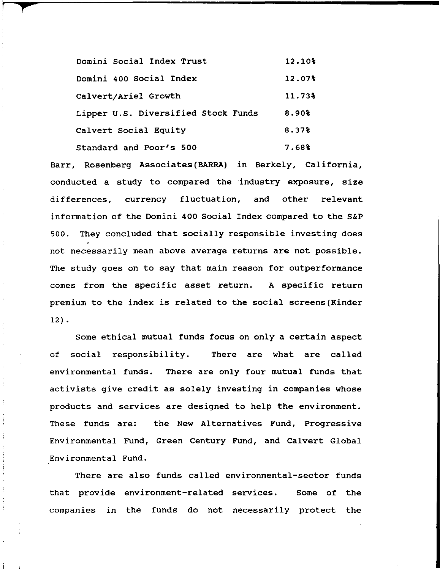Domini social Index Trust Domini 400 Social Index Calvert/Ariel Growth Lipper u.s. Diversified Stock Funds Calvert Social Equity Standard and Poor's 500 12.10% 12.07% 11.73% 8.90% 8.37% 7.68%

r **f** 

Barr, Rosenberg Associates (BARRA) in Berkely, California, conducted a study to compared the industry exposure, size differences, currency fluctuation, and other relevant information of the Domini 400 Social Index compared to the S&P 500. They concluded that socially responsible investing does not necessarily mean above average returns are not possible. The study goes on to say that main reason for outperformance comes from the specific asset return. A specific return premium to the index is related to the social screens(Kinder 12) •

Some ethical mutual funds focus on only a certain aspect of social responsibility. There are what are called environmental funds. There are only four mutual funds that activists give credit as solely investing in companies whose products and services are designed to help the environment. These funds are: the New Alternatives Fund, Progressive Environmental Fund, Green century Fund, and Calvert Global Environmental Fund.

There are also funds called environmental-sector funds that provide environment-related services. Some of the companies in the funds do not necessarily protect the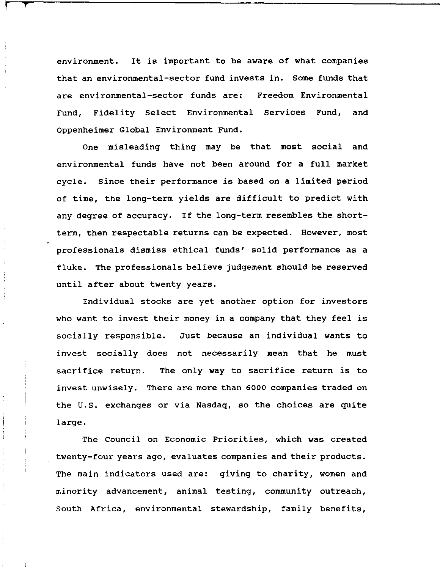environment. It is important to be aware of what companies that an environmental-sector fund invests in. Some funds that are environmental-sector funds are: Freedom Environmental Fund, Fidelity Select Environmental Services Fund, and Oppenheimer Global Environment Fund.

r **f'** 

One misleading thing may be that most social and environmental funds have not been around for a full market cycle. Since their performance is based on a limited period of time, the long-term yields are difficult to predict with any degree of accuracy. If the long-term resembles the shortterm, then respectable returns can be expected. However, most professionals dismiss ethical funds' solid performance as a fluke. The professionals believe judgement should be reserved until after about twenty years.

Individual stocks are yet another option for investors who want to invest their money in a company that they feel is socially responsible. Just because an individual wants to invest socially does not necessarily mean that he must sacrifice return. The only way to sacrifice return is to invest unwisely. There are more than 6000 companies traded on the U.S. exchanges or via Nasdaq, so the choices are quite large.

The Council on Economic Priorities, which was created twenty-four years ago, evaluates companies and their products. The main indicators used are: giving to charity, women and minority advancement, animal testing, community outreach, South Africa, environmental stewardship, family benefits,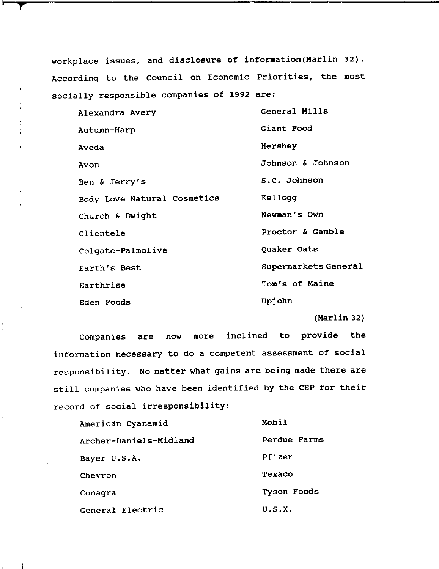workplace issues, and disclosure of information(Marlin 32). According to the Council on Economic Priorities, the most socially responsible companies of 1992 are:

**t** 

| Alexandra Avery             | General Mills        |
|-----------------------------|----------------------|
| Autumn-Harp                 | Giant Food           |
| Aveda                       | Hershey              |
| Avon                        | Johnson & Johnson    |
| Ben & Jerry's               | S.C. Johnson         |
| Body Love Natural Cosmetics | Kellogg              |
| Church & Dwight             | Newman's Own         |
| Clientele                   | Proctor & Gamble     |
| Colgate-Palmolive           | Quaker Oats          |
| Earth's Best                | Supermarkets General |
| Earthrise                   | Tom's of Maine       |
| Eden Foods                  | Upjohn               |

(Marlin 32)

Companies are now more inclined to provide the information necessary to do a competent assessment of social responsibility. No matter what gains are being made there are still companies who have been identified by the CEP for their record of social irresponsibility:

| American Cyanamid      | Mobil        |
|------------------------|--------------|
| Archer-Daniels-Midland | Perdue Farms |
| Bayer U.S.A.           | Pfizer       |
| Chevron                | Texaco       |
| Conagra                | Tyson Foods  |
| General Electric       | U.S.X.       |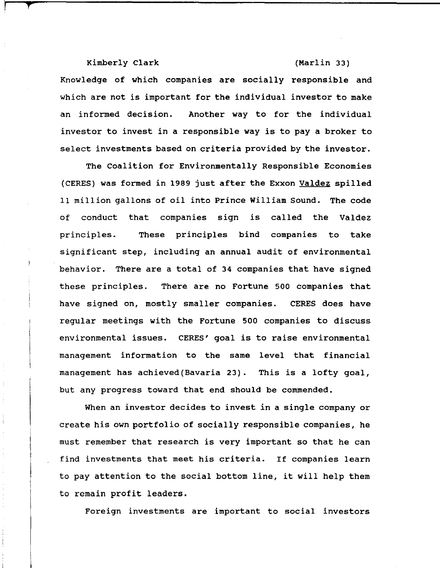Kimberly Clark (Marlin 33)

**l'** 

Knowledge of which companies are socially responsible and which are not is important for the individual investor to make an informed decision. Another way to for the individual investor to invest in a responsible way is to pay a broker to select investments based on criteria provided by the investor.

The Coalition for Environmentally Responsible Economies (CERES) was formed in 1989 just after the Exxon Valdez spilled 11 million gallons of oil into Prince William Sound. The code of conduct that companies sign is called the Valdez principles. These principles bind companies to take significant step, including an annual audit of environmental behavior. There are a total of 34 companies that have signed these principles. There are no Fortune 500 companies that have signed on, mostly smaller companies. CERES does have regular meetings with the Fortune 500 companies to discuss environmental issues. CERES' goal is to raise environmental management information to the same level that financial management has achieved(Bavaria 23). This is a lofty goal, but any progress toward that end should be commended.

When an investor decides to invest in a single company or create his own portfolio of socially responsible companies, he must remember that research is very important so that he can find investments that meet his criteria. If companies learn to pay attention to the social bottom line, it will help them to remain profit leaders.

Foreign investments are important to social investors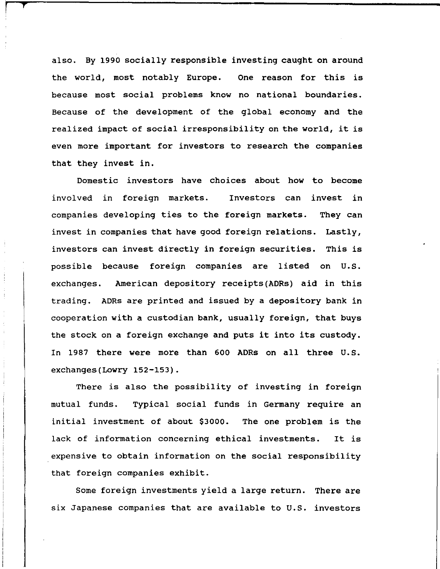also. By 1990 socially responsible investing caught on around the world, most notably Europe. One reason for this is because most social problems know no national boundaries. Because of the development of the global economy and the realized impact of social irresponsibility on the world, it is even more important for investors to research the companies that they invest in.

r **"t** 

Domestic investors have choices about how to become involved in foreign markets. Investors can invest in companies developing ties to the foreign markets. invest in companies that have good foreign relations. Lastly, They can investors can invest directly in foreign securities. This is possible because foreign companies are listed on U.S. exchanges. American depository receipts (ADRs) aid in this trading. ADRs are printed and issued by a depository bank in cooperation with a custodian bank, usually foreign, that buys the stock on a foreign exchange and puts it into its custody. In 1987 there were more than 600 ADRs on all three U.S. exchanges(Lowry 152-153).

There is also the possibility of investing in foreign mutual funds. Typical social funds in Germany require an initial investment of about \$3000. The one problem is the lack of information concerning ethical investments. It is expensive to obtain information on the social responsibility that foreign companies exhibit.

Some foreign investments yield a large return. There are six Japanese companies that are available to U.S. investors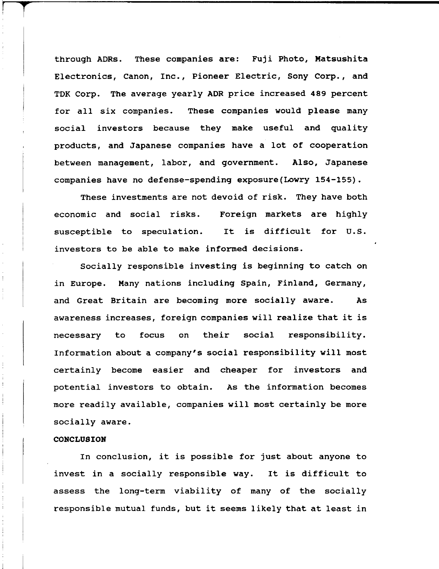through ADRs. These companies are: Fuji Photo, Matsushita Electronics, Canon, Inc., Pioneer Electric, Sony Corp., and TDK Corp. The average yearly ADR price increased 489 percent for all six companies. These companies would please many social investors because they make useful and quality products, and Japanese companies have a lot of cooperation between management, labor, and government. Also, Japanese companies have no defense-spending exposure(Lowry 154-155).

These investments are not devoid of risk. They have both economic and social risks. Foreign markets are highly susceptible to speculation. It is difficult for U.S. investors to be able to make informed decisions.

Socially responsible investing is beginning to catch on in Europe. Many nations including Spain, Finland, Germany, and Great Britain are becoming more socially aware. As awareness increases, foreign companies will realize that it is necessary to focus on their social responsibility. Information about a company's social responsibility will most certainly become easier and cheaper for investors and potential investors to obtain. As the information becomes more readily available, companies will most certainly be more socially aware.

# **CONCLUSION**

<sup>r</sup>**T** 

In conclusion, it is possible for just about anyone to invest in a socially responsible way. It is difficult to assess the long-term viability of many of the socially responsible mutual funds, but it seems likely that at least in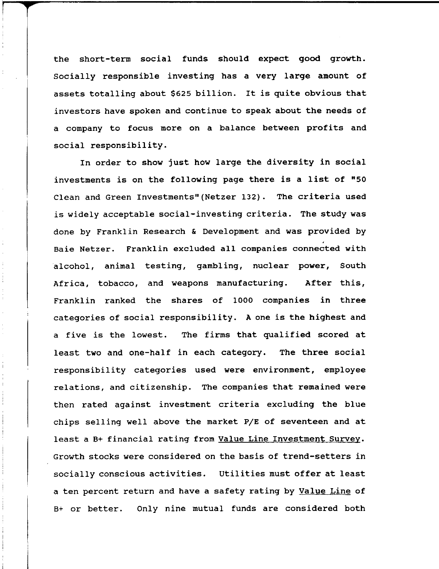the short-term social funds should expect good growth. Socially responsible investing has a very large amount of assets totalling about \$625 billion. It is quite obvious that investors have spoken and continue to speak about the needs of a company to focus more on a balance between profits and social responsibility.

In order to show just how large the diversity in social investments is on the following page there is a list of "50 Clean and Green Investments"(Netzer 132). The criteria used is widely acceptable social-investing criteria. The study was done by Franklin Research & Development and was provided by Baie Netzer. Franklin excluded all companies connected with alcohol, animal testing, gambling, nuclear power, South Africa, tobacco, and weapons manufacturing. After this, Franklin ranked the shares of 1000 companies in three categories of social responsibility. A one is the highest and a five is the lowest. The firms that qualified scored at least two and one-half in each category. The three social responsibility categories used were environment, employee relations, and citizenship. The companies that remained were then rated against investment criteria excluding the blue chips selling well above the market *PIE* of seventeen and at least a B+ financial rating from Value Line Investment Survey. Growth stocks were considered on the basis of trend-setters in socially conscious activities. utilities must offer at least a ten percent return and have a safety rating by Value Line of B+ or better. Only nine mutual funds are considered both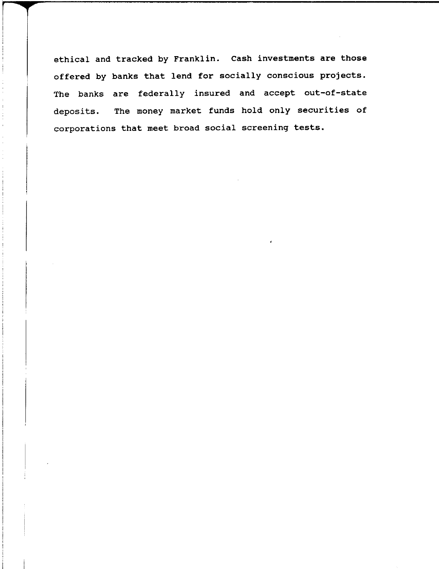ethical and tracked by Franklin. Cash investments are those offered by banks that lend for socially conscious projects. The banks are federally insured and accept out-of-state deposits. The money market funds hold only securities of corporations that meet broad social screening tests.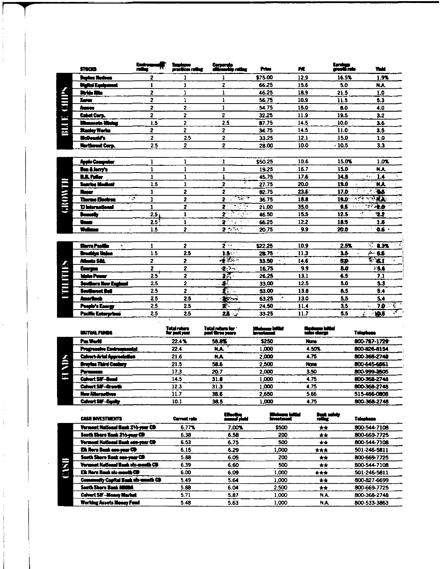|             | <b>STOCKS</b>            | Emire                                      | practices rating        | Corporato<br>okizonolop roting | Prim      | PE.  | Earnings<br>greath rate | Yek!            |
|-------------|--------------------------|--------------------------------------------|-------------------------|--------------------------------|-----------|------|-------------------------|-----------------|
|             | <b>Baylon Hudoon</b>     | 2                                          |                         |                                | \$75.00   | 12.9 | 16.5%                   | 1.9%            |
|             | <b>Digital Equipment</b> | 1                                          | 1                       | $\overline{\mathbf{z}}$        | 66.25     | 15.6 | 5.0                     | <b>N.A.</b>     |
| Κ           | Stride Rite              | 2                                          | 1                       | 1                              | 46.25     | 18.9 | 21.5                    | 1.0             |
|             | <b>Xerex</b>             | 2                                          | 1                       | $\mathbf{1}$                   | 56.75     | 10.9 | 11.5                    | 5.3             |
| CHI         | Ameco                    | 2                                          | 2                       | $\mathbf{1}$                   | 54.75     | 15.0 | 8.0                     | 4.0             |
| fast.       | Cabel Corp.              | 2                                          | 2                       | 2                              | 32.25     | 11.9 | 19.5                    | 3.2             |
|             | Kunoocta Mining          | 1.5                                        | $\overline{c}$          | 2.5                            | 87.75     | 14.5 | 10.0                    | 3.6             |
| BLI         | <b>Stanley Works</b>     | $\mathbf{z}$                               | 2                       | 2                              | 34.75     | 14.5 | 11.0                    | 3.5             |
|             | McDonald's               | $\overline{2}$                             | 2.5                     | $\overline{2}$                 | 33.25     | 12.1 | 15.0                    | 1.0             |
|             | Northwest Corp.          | 2.5                                        | 2                       | 2                              | 28.00     | 10.0 | $-10.5$                 | 3.3             |
|             | Apple Computer           | ı                                          | 1                       | 1                              | \$50.25   | 10.6 | 15.0%                   | 1.0%            |
|             | Bon & Jerry's            | $\mathbf{1}$                               | $\mathbf{1}$            | $\mathbf{I}$                   | 19.25     | 16.7 | 15.0                    | NA.             |
|             | <b>ILL Fuller</b>        | $\mathbf{r}$                               | 1                       | 1<br>$\sim 25$                 | 45.75     | 17.6 | 14.5                    | εŻ,<br>1.4      |
|             | <b>Sunries Modent</b>    | 1.5                                        | $\mathbf{1}$            | 76<br>$\overline{\mathbf{z}}$  | 27.75     | 20.0 | 19.0                    | N.A             |
|             | <b>Recor</b>             | $\mathbf{r}$                               | 2                       | $\overline{z}$<br>2505         | 82.75     | 23.6 | 17.0                    | $\overline{45}$ |
|             | <b>Therme Electron</b>   | Т.<br>1                                    | $\overline{\mathbf{2}}$ | स्ट प<br>2                     | 36.75     | 18.8 | 19.0<br>ベータ             | <b>NA</b>       |
| <b>CROW</b> | <b>U</b> international   | $\mathbf{1}$                               | 2                       | ा है। स<br>$\mathbf{z}$        | 21.00     | 35.0 | 9.5                     | 凌彦              |
|             | Demoty                   | 2.5:                                       | 1                       | 21 र जन्म                      | 46.50     | 15.5 | 12.5                    | - 41<br>22      |
|             | Vous                     | $2.5^{\frac{3}{2}}$                        | $\mathbf{I}$            | $2^{2n}$ and $2^{n}$           | 66.25     | 12.2 | 18.5                    | 1.6             |
|             | Wellman                  | 1.5<br>$\mathbf{x} \rightarrow \mathbf{z}$ | $\overline{\mathbf{z}}$ | $2 + 7 + 7$                    | 20.75     | 9.9  | 20.0                    | 0.6<br>vic 3.   |
|             | Storra Pacific           | 1                                          | 2                       | $2\times$                      | \$22.25   | 10.9 | 2.5%                    | रहा<br>8.3%     |
|             | Irochica Unico           | $1.5\,$                                    | 2.5                     | $2.5 \, m3$                    | $28.75 -$ | 11.3 | 3.5                     | $4 - 6.6$       |
|             | Atlants S&L              | $\overline{2}$                             | 2                       | $-27 -$                        | 33.50     | 14.6 | BO.<br>χv.              | 2.3.1<br>i p    |
|             | Energia                  | $\overline{\mathbf{z}}$                    | 2                       | ∙≵े∾                           | 16.75     | 9.9  | 8.0                     | 1.6.6           |
| THEFTITS.   | <b>Mate Power</b>        | 2.5                                        | 2                       | इटा                            | 26.25     | 13.1 | 6.5                     | 7.1             |
|             | Southern New England     | 2.5                                        | $\overline{2}$          | $\overline{\mathbf{r}}$        | 33.00     | 12.5 | 5.0                     | 5.3             |
|             | <b>Seuthered Bell</b>    | 2.5                                        | 2                       | $\mathbf{r}_{\text{max}}$      | 53.00     | 13.8 | 8.5                     | 54              |
| ľ           | <b>Ameritach</b>         | 2.5                                        | 2.5                     | $-25 - 1$                      | 63.25     | 13.0 | 5,5                     | 5.4             |
|             | Poople's Energy          | 2.5                                        | 2.5                     | $\mathbf{r}$                   | 24.50     | 11.4 | 35                      | 70<br>15<br>ç,  |
|             | Pacific Enterprison      | 2.5                                        | 2.5                     | 23                             | 33.25     | 11.7 | 5.5                     | 103<br>ا ئى     |

 $\label{eq:2.1} \mathcal{L}(\mathcal{L}^{\text{max}}_{\mathcal{L}}(\mathcal{L}^{\text{max}}_{\mathcal{L}}),\mathcal{L}^{\text{max}}_{\mathcal{L}}(\mathcal{L}^{\text{max}}_{\mathcal{L}}))$ 

| <b>MUTUAL FUNDS</b>               | Tetal rebara<br>for past year | Total return for "<br>post three years | Minimum infilm<br>Investment | <i>sudm</i> um initial<br>salos chargo | Tolophone    |
|-----------------------------------|-------------------------------|----------------------------------------|------------------------------|----------------------------------------|--------------|
| Pac World                         | 22.4%                         | 58.8%                                  | \$250                        | None                                   | 800-767-1729 |
| <b>Progressive Environmental</b>  | 22.4                          | <b>N.A.</b>                            | 1,000                        | 4.50%                                  | 800-826-8154 |
| <b>Calvert-Artel Approclation</b> | 21.6                          | N.A                                    | 2,000                        | 4.75                                   | 800-368-2748 |
| <b>Broyfes Third Contary</b>      | 21.5                          | 58.6                                   | 2500                         | Name                                   | 800-645-6561 |
| <b>Parmente</b>                   | 173                           | 20.7                                   | 2.000                        | 3.50                                   | 800-999-3505 |
| <b>Culvert SIF-Bond</b>           | 14.5                          | 31.8                                   | 1.000                        | 4.75                                   | 800-368-2748 |
| <b>Calvert SiF-Growth</b>         | 12.3                          | 31.3                                   | 1.000                        | 4.75                                   | 800-368-2748 |
| New Alternatives                  | 11.7                          | 38.6                                   | 2.650                        | 5.66                                   | 515-466-0808 |
| <b>Calvert SiF-Equity</b>         | 10.1                          | 38.5                                   | 1.000                        | 4.75                                   | 800-368-2748 |

 $\sim$   $\sim$ 

 $\mathcal{L}_{\mathcal{L}}$ 

 $\hat{\mathcal{E}}$ 

 $\begin{array}{c} \bullet \\ \bullet \\ \bullet \end{array}$ 

|                                             |                     |                           | -----                  |                                     |              |
|---------------------------------------------|---------------------|---------------------------|------------------------|-------------------------------------|--------------|
| <b>CASH INVESTMENTS</b>                     | <b>Current rate</b> | Effective<br>annual yield | اعلاقها ه<br>irrostmon | <b>Bank safety</b><br><b>retine</b> | Tolophone    |
| Vermont National Bank 21/2-year CD          | 6.77%               | 7.00%                     | \$500                  | $***$                               | 800-544-7108 |
| South Shore Bank 21/2-year CD               | 6.38                | 6.58                      | 200                    | $\star\star$                        | 800-669-7725 |
| <b>Yermont National Bank one-year CD</b>    | 6.53                | 6.75                      | 500                    | **                                  | 800-544-7108 |
| Elk Horn Bank one-year CD                   | 6.15                | 6.29                      | 1,000                  | ***                                 | 501-246-5811 |
| South Shore Bank one-year CD                | 5.88                | 6.05                      | 200                    | **                                  | 800-669-7725 |
| <b>Verment National Bank six-ments CD</b>   | 6.39                | 6.60                      | 500                    | **                                  | 800-544-7108 |
| Elk Horn Bank six-month CD                  | 6.00                | 6.09                      | 1.000                  | $\star \star \star$                 | 501-246-5811 |
| <b>Community Capital Bank six-usuith CD</b> | 5.49                | 5.64                      | 1.000                  | $+ +$                               | 800-827-6699 |
| <b>Seuth Shore Bank MMBA</b>                | 5.88                | 6.04                      | 2.500                  | $+ +$                               | 800-669-7725 |
| <b>Calvert SIF-Money Market</b>             | 5.71                | 5.87                      | 1.000                  | N.A.                                | 800-368-2748 |
| <b>Worldng Assets Money Fund</b>            | 5.48                | 5.63                      | 1.000                  | N.A.                                | 800-533-3863 |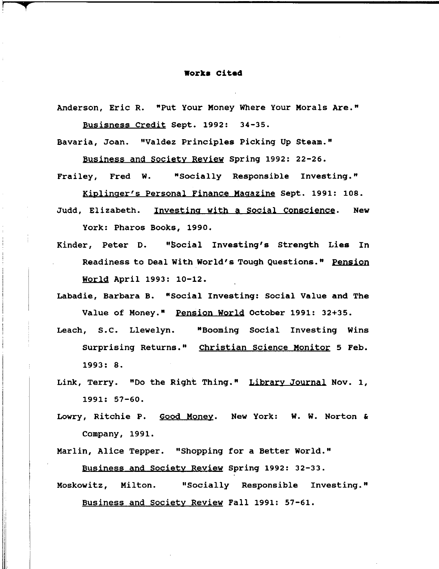#### **Work. Cited**

Anderson, Eric R. "Put Your Money Where Your Morals Are." Busisness Credit sept. 1992: 34-35.

Bavaria, Joan. "Valdez Principles Picking Up steam."

Business and Society Reyiew Spring 1992: 22-26.

Frailey, Fred W. "Socially Responsible Investing."

Kiplinger's Personal Finance Magazine sept. 1991: 108. Judd, Elizabeth. Investing with a Social Conscience. New York: Pharos Books, 1990.

Kinder, Peter D. "Social Investing's Strength Lies In Readiness to Deal with World's Tough Questions." Pension

World April 1993: 10-12.

r **t** 

,  $\mathbf{l}$ 

I

 $\mathbb{I}$ 

Labadie, Barbara B. "Social Investing: Social Value and The Value of Money." Pension World October 1991: 32+35.

- Leach, S.C. Llewelyn. "Booming Social Investing Wins Surprising Returns." Christian Science Monitor 5 Feb. 1993: 8.
- Link, Terry. "Do the Right Thing." Library Journal Nov. 1, 1991: 57-60.
- Lowry, Ritchie P. Good Money. New York: W. W. Norton & Company, 1991.

Marlin, Alice Tepper. "Shopping for a Better World." Business and society Review Spring 1992: 32-33.

Moskowitz, Milton. "Socially Responsible Investing." Business and Society Review Fall 1991: 57-61.